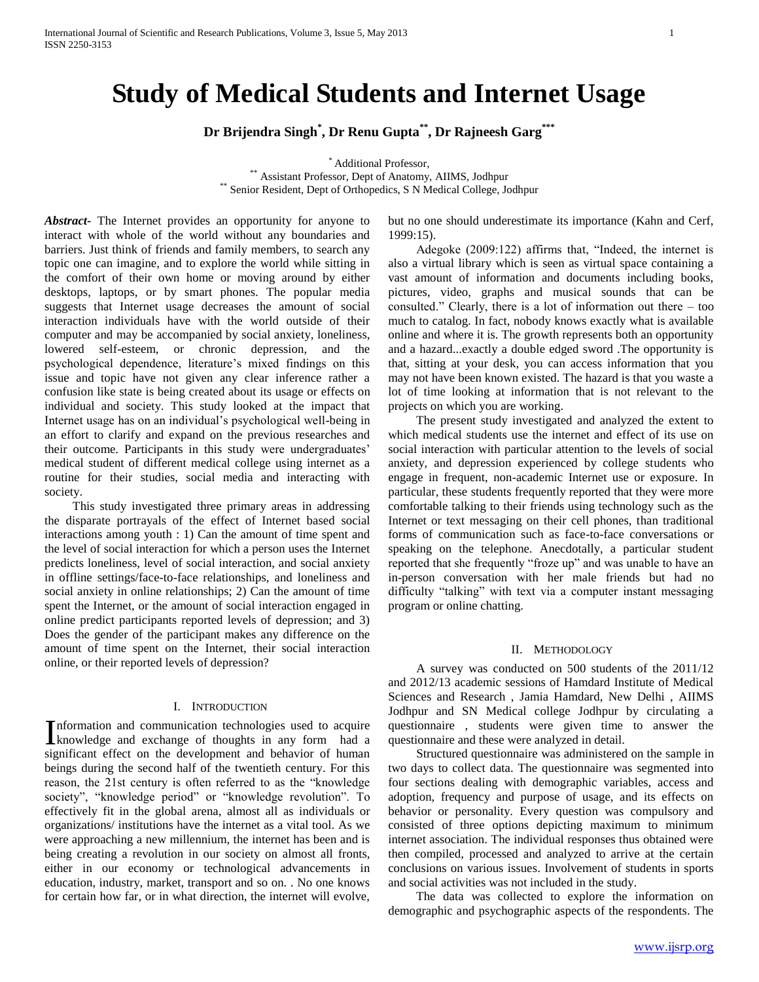# **Study of Medical Students and Internet Usage**

**Dr Brijendra Singh\* , Dr Renu Gupta\*\* , Dr Rajneesh Garg\*\*\***

\* Additional Professor,

\*\* Assistant Professor, Dept of Anatomy, AIIMS, Jodhpur \*\* Senior Resident, Dept of Orthopedics, S N Medical College, Jodhpur

*Abstract***-** The Internet provides an opportunity for anyone to interact with whole of the world without any boundaries and barriers. Just think of friends and family members, to search any topic one can imagine, and to explore the world while sitting in the comfort of their own home or moving around by either desktops, laptops, or by smart phones. The popular media suggests that Internet usage decreases the amount of social interaction individuals have with the world outside of their computer and may be accompanied by social anxiety, loneliness, lowered self-esteem, or chronic depression, and the psychological dependence, literature's mixed findings on this issue and topic have not given any clear inference rather a confusion like state is being created about its usage or effects on individual and society. This study looked at the impact that Internet usage has on an individual's psychological well-being in an effort to clarify and expand on the previous researches and their outcome. Participants in this study were undergraduates' medical student of different medical college using internet as a routine for their studies, social media and interacting with society.

 This study investigated three primary areas in addressing the disparate portrayals of the effect of Internet based social interactions among youth : 1) Can the amount of time spent and the level of social interaction for which a person uses the Internet predicts loneliness, level of social interaction, and social anxiety in offline settings/face-to-face relationships, and loneliness and social anxiety in online relationships; 2) Can the amount of time spent the Internet, or the amount of social interaction engaged in online predict participants reported levels of depression; and 3) Does the gender of the participant makes any difference on the amount of time spent on the Internet, their social interaction online, or their reported levels of depression?

#### I. INTRODUCTION

nformation and communication technologies used to acquire Information and communication technologies used to acquire<br>
knowledge and exchange of thoughts in any form had a significant effect on the development and behavior of human beings during the second half of the twentieth century. For this reason, the 21st century is often referred to as the "knowledge society", "knowledge period" or "knowledge revolution". To effectively fit in the global arena, almost all as individuals or organizations/ institutions have the internet as a vital tool. As we were approaching a new millennium, the internet has been and is being creating a revolution in our society on almost all fronts, either in our economy or technological advancements in education, industry, market, transport and so on. . No one knows for certain how far, or in what direction, the internet will evolve,

but no one should underestimate its importance (Kahn and Cerf, 1999:15).

 Adegoke (2009:122) affirms that, "Indeed, the internet is also a virtual library which is seen as virtual space containing a vast amount of information and documents including books, pictures, video, graphs and musical sounds that can be consulted." Clearly, there is a lot of information out there – too much to catalog. In fact, nobody knows exactly what is available online and where it is. The growth represents both an opportunity and a hazard...exactly a double edged sword .The opportunity is that, sitting at your desk, you can access information that you may not have been known existed. The hazard is that you waste a lot of time looking at information that is not relevant to the projects on which you are working.

 The present study investigated and analyzed the extent to which medical students use the internet and effect of its use on social interaction with particular attention to the levels of social anxiety, and depression experienced by college students who engage in frequent, non-academic Internet use or exposure. In particular, these students frequently reported that they were more comfortable talking to their friends using technology such as the Internet or text messaging on their cell phones, than traditional forms of communication such as face-to-face conversations or speaking on the telephone. Anecdotally, a particular student reported that she frequently "froze up" and was unable to have an in-person conversation with her male friends but had no difficulty "talking" with text via a computer instant messaging program or online chatting.

# II. METHODOLOGY

 A survey was conducted on 500 students of the 2011/12 and 2012/13 academic sessions of Hamdard Institute of Medical Sciences and Research , Jamia Hamdard, New Delhi , AIIMS Jodhpur and SN Medical college Jodhpur by circulating a questionnaire , students were given time to answer the questionnaire and these were analyzed in detail.

 Structured questionnaire was administered on the sample in two days to collect data. The questionnaire was segmented into four sections dealing with demographic variables, access and adoption, frequency and purpose of usage, and its effects on behavior or personality. Every question was compulsory and consisted of three options depicting maximum to minimum internet association. The individual responses thus obtained were then compiled, processed and analyzed to arrive at the certain conclusions on various issues. Involvement of students in sports and social activities was not included in the study.

 The data was collected to explore the information on demographic and psychographic aspects of the respondents. The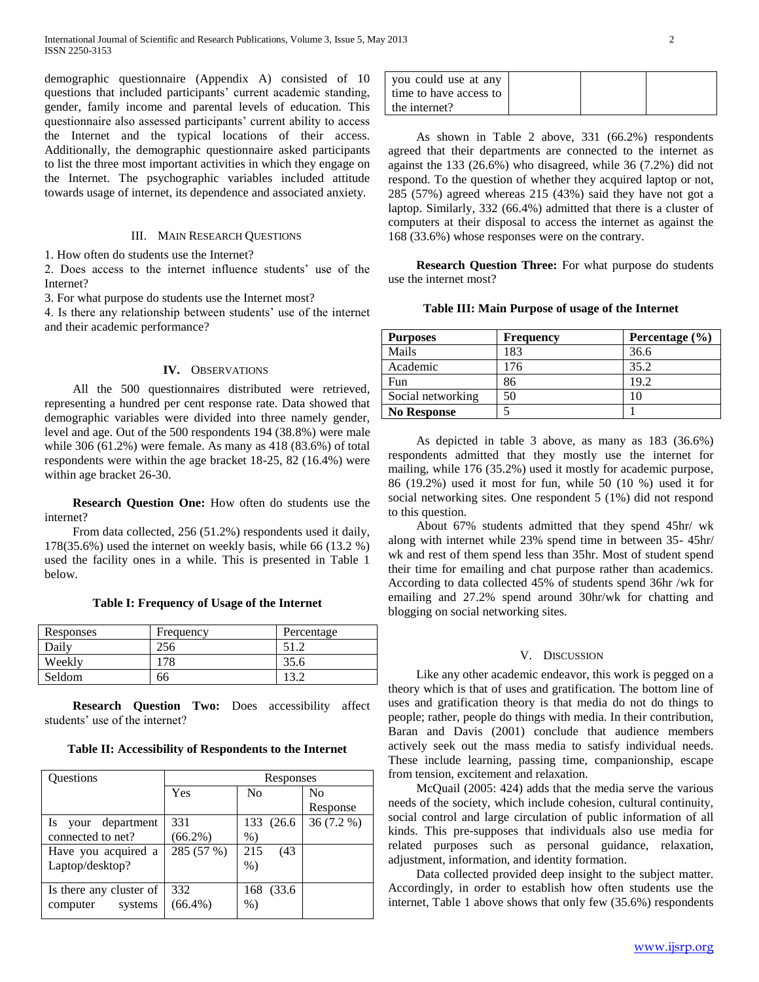demographic questionnaire (Appendix A) consisted of 10 questions that included participants' current academic standing, gender, family income and parental levels of education. This questionnaire also assessed participants' current ability to access the Internet and the typical locations of their access. Additionally, the demographic questionnaire asked participants to list the three most important activities in which they engage on the Internet. The psychographic variables included attitude towards usage of internet, its dependence and associated anxiety.

# III. MAIN RESEARCH QUESTIONS

1. How often do students use the Internet?

2. Does access to the internet influence students' use of the Internet?

3. For what purpose do students use the Internet most?

4. Is there any relationship between students' use of the internet and their academic performance?

# **IV.** OBSERVATIONS

 All the 500 questionnaires distributed were retrieved, representing a hundred per cent response rate. Data showed that demographic variables were divided into three namely gender, level and age. Out of the 500 respondents 194 (38.8%) were male while 306 (61.2%) were female. As many as 418 (83.6%) of total respondents were within the age bracket 18-25, 82 (16.4%) were within age bracket 26-30.

 **Research Question One:** How often do students use the internet?

 From data collected, 256 (51.2%) respondents used it daily, 178(35.6%) used the internet on weekly basis, while 66 (13.2 %) used the facility ones in a while. This is presented in Table 1 below.

## **Table I: Frequency of Usage of the Internet**

| Responses | Frequency | Percentage |
|-----------|-----------|------------|
| Daily     | 256       |            |
| Weekly    |           | 35.6       |
| Seldom    | 66        |            |

 **Research Question Two:** Does accessibility affect students' use of the internet?

### **Table II: Accessibility of Respondents to the Internet**

| <b>Ouestions</b>        | Responses  |                |                |
|-------------------------|------------|----------------|----------------|
|                         | Yes        | N <sub>0</sub> | N <sub>0</sub> |
|                         |            |                | Response       |
| Is your department      | 331        | 133 (26.6)     | $36(7.2\%)$    |
| connected to net?       | $(66.2\%)$ | $%$ )          |                |
| Have you acquired a     | 285 (57 %) | 215<br>(43)    |                |
| Laptop/desktop?         |            | $%$ )          |                |
| Is there any cluster of | 332        | 168 (33.6)     |                |
| computer<br>systems     | $(66.4\%)$ | $%$ )          |                |

| vou could use at any   |  |  |
|------------------------|--|--|
| time to have access to |  |  |
| l the internet?        |  |  |

 As shown in Table 2 above, 331 (66.2%) respondents agreed that their departments are connected to the internet as against the 133 (26.6%) who disagreed, while 36 (7.2%) did not respond. To the question of whether they acquired laptop or not, 285 (57%) agreed whereas 215 (43%) said they have not got a laptop. Similarly, 332 (66.4%) admitted that there is a cluster of computers at their disposal to access the internet as against the 168 (33.6%) whose responses were on the contrary.

 **Research Question Three:** For what purpose do students use the internet most?

## **Table III: Main Purpose of usage of the Internet**

| <b>Purposes</b>    | <b>Frequency</b> | Percentage $(\% )$ |
|--------------------|------------------|--------------------|
| Mails              | 183              | 36.6               |
| Academic           | 176              | 35.2               |
| Fun                | 86               | 19.2               |
| Social networking  | 50               |                    |
| <b>No Response</b> |                  |                    |

 As depicted in table 3 above, as many as 183 (36.6%) respondents admitted that they mostly use the internet for mailing, while 176 (35.2%) used it mostly for academic purpose, 86 (19.2%) used it most for fun, while 50 (10 %) used it for social networking sites. One respondent 5 (1%) did not respond to this question.

 About 67% students admitted that they spend 45hr/ wk along with internet while 23% spend time in between 35- 45hr/ wk and rest of them spend less than 35hr. Most of student spend their time for emailing and chat purpose rather than academics. According to data collected 45% of students spend 36hr /wk for emailing and 27.2% spend around 30hr/wk for chatting and blogging on social networking sites.

#### V. DISCUSSION

 Like any other academic endeavor, this work is pegged on a theory which is that of uses and gratification. The bottom line of uses and gratification theory is that media do not do things to people; rather, people do things with media. In their contribution, Baran and Davis (2001) conclude that audience members actively seek out the mass media to satisfy individual needs. These include learning, passing time, companionship, escape from tension, excitement and relaxation.

 McQuail (2005: 424) adds that the media serve the various needs of the society, which include cohesion, cultural continuity, social control and large circulation of public information of all kinds. This pre-supposes that individuals also use media for related purposes such as personal guidance, relaxation, adjustment, information, and identity formation.

 Data collected provided deep insight to the subject matter. Accordingly, in order to establish how often students use the internet, Table 1 above shows that only few (35.6%) respondents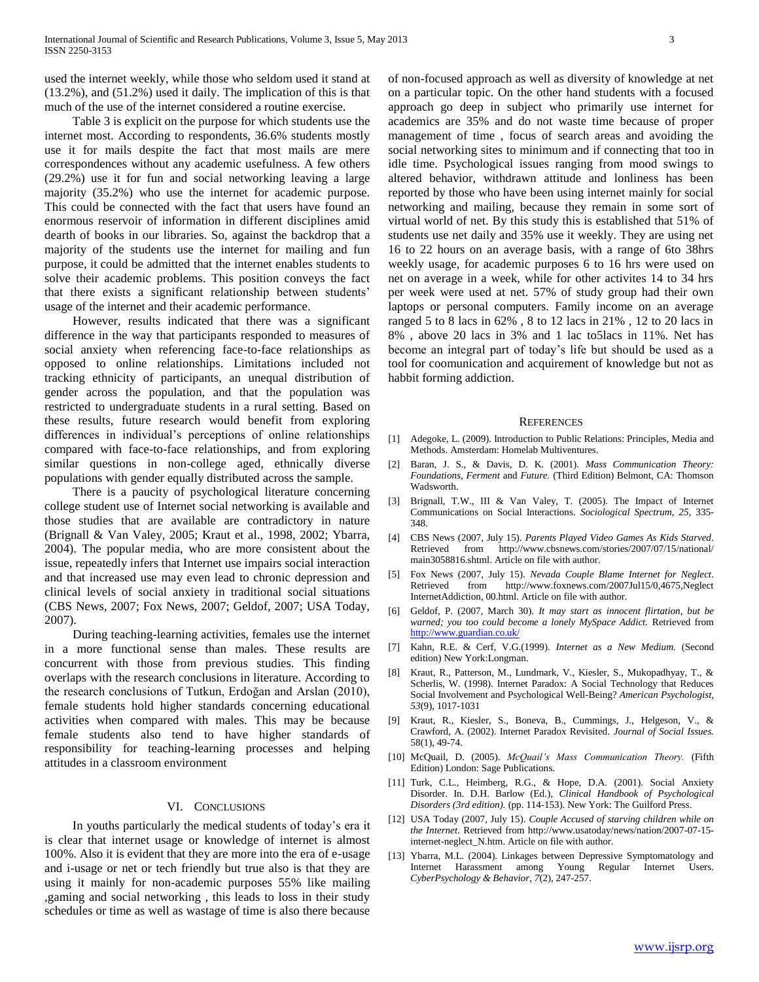used the internet weekly, while those who seldom used it stand at (13.2%), and (51.2%) used it daily. The implication of this is that much of the use of the internet considered a routine exercise.

 Table 3 is explicit on the purpose for which students use the internet most. According to respondents, 36.6% students mostly use it for mails despite the fact that most mails are mere correspondences without any academic usefulness. A few others (29.2%) use it for fun and social networking leaving a large majority (35.2%) who use the internet for academic purpose. This could be connected with the fact that users have found an enormous reservoir of information in different disciplines amid dearth of books in our libraries. So, against the backdrop that a majority of the students use the internet for mailing and fun purpose, it could be admitted that the internet enables students to solve their academic problems. This position conveys the fact that there exists a significant relationship between students' usage of the internet and their academic performance.

 However, results indicated that there was a significant difference in the way that participants responded to measures of social anxiety when referencing face-to-face relationships as opposed to online relationships. Limitations included not tracking ethnicity of participants, an unequal distribution of gender across the population, and that the population was restricted to undergraduate students in a rural setting. Based on these results, future research would benefit from exploring differences in individual's perceptions of online relationships compared with face-to-face relationships, and from exploring similar questions in non-college aged, ethnically diverse populations with gender equally distributed across the sample.

 There is a paucity of psychological literature concerning college student use of Internet social networking is available and those studies that are available are contradictory in nature (Brignall & Van Valey, 2005; Kraut et al., 1998, 2002; Ybarra, 2004). The popular media, who are more consistent about the issue, repeatedly infers that Internet use impairs social interaction and that increased use may even lead to chronic depression and clinical levels of social anxiety in traditional social situations (CBS News, 2007; Fox News, 2007; Geldof, 2007; USA Today, 2007).

 During teaching-learning activities, females use the internet in a more functional sense than males. These results are concurrent with those from previous studies. This finding overlaps with the research conclusions in literature. According to the research conclusions of Tutkun, Erdoğan and Arslan (2010), female students hold higher standards concerning educational activities when compared with males. This may be because female students also tend to have higher standards of responsibility for teaching-learning processes and helping attitudes in a classroom environment

## VI. CONCLUSIONS

 In youths particularly the medical students of today's era it is clear that internet usage or knowledge of internet is almost 100%. Also it is evident that they are more into the era of e-usage and i-usage or net or tech friendly but true also is that they are using it mainly for non-academic purposes 55% like mailing ,gaming and social networking , this leads to loss in their study schedules or time as well as wastage of time is also there because

of non-focused approach as well as diversity of knowledge at net on a particular topic. On the other hand students with a focused approach go deep in subject who primarily use internet for academics are 35% and do not waste time because of proper management of time , focus of search areas and avoiding the social networking sites to minimum and if connecting that too in idle time. Psychological issues ranging from mood swings to altered behavior, withdrawn attitude and lonliness has been reported by those who have been using internet mainly for social networking and mailing, because they remain in some sort of virtual world of net. By this study this is established that 51% of students use net daily and 35% use it weekly. They are using net 16 to 22 hours on an average basis, with a range of 6to 38hrs weekly usage, for academic purposes 6 to 16 hrs were used on net on average in a week, while for other activites 14 to 34 hrs per week were used at net. 57% of study group had their own laptops or personal computers. Family income on an average ranged 5 to 8 lacs in 62% , 8 to 12 lacs in 21% , 12 to 20 lacs in 8% , above 20 lacs in 3% and 1 lac to5lacs in 11%. Net has become an integral part of today's life but should be used as a tool for coomunication and acquirement of knowledge but not as habbit forming addiction.

#### **REFERENCES**

- [1] Adegoke, L. (2009). Introduction to Public Relations: Principles, Media and Methods. Amsterdam: Homelab Multiventures.
- [2] Baran, J. S., & Davis, D. K. (2001). *Mass Communication Theory: Foundations, Ferment* and *Future.* (Third Edition) Belmont, CA: Thomson Wadsworth.
- [3] Brignall, T.W., III & Van Valey, T. (2005). The Impact of Internet Communications on Social Interactions. *Sociological Spectrum, 25*, 335- 348.
- [4] CBS News (2007, July 15). *Parents Played Video Games As Kids Starved*. Retrieved from http://www.cbsnews.com/stories/2007/07/15/national/ main3058816.shtml. Article on file with author.
- [5] Fox News (2007, July 15). *Nevada Couple Blame Internet for Neglect*. Retrieved from http://www.foxnews.com/2007Jul15/0,4675,Neglect InternetAddiction, 00.html. Article on file with author.
- [6] Geldof, P. (2007, March 30). *It may start as innocent flirtation, but be warned; you too could become a lonely MySpace Addict.* Retrieved from <http://www.guardian.co.uk/>
- [7] Kahn, R.E. & Cerf, V.G.(1999). *Internet as a New Medium.* (Second edition) New York:Longman.
- [8] Kraut, R., Patterson, M., Lundmark, V., Kiesler, S., Mukopadhyay, T., & Scherlis, W. (1998). Internet Paradox: A Social Technology that Reduces Social Involvement and Psychological Well-Being? *American Psychologist, 53*(9), 1017-1031
- [9] Kraut, R., Kiesler, S., Boneva, B., Cummings, J., Helgeson, V., & Crawford, A. (2002). Internet Paradox Revisited. *Journal of Social Issues.*  58(1), 49-74.
- [10] McQuail, D. (2005). *McQuail's Mass Communication Theory.* (Fifth Edition) London: Sage Publications.
- [11] Turk, C.L., Heimberg, R.G., & Hope, D.A. (2001). Social Anxiety Disorder. In. D.H. Barlow (Ed.), *Clinical Handbook of Psychological Disorders (3rd edition).* (pp. 114-153). New York: The Guilford Press.
- [12] USA Today (2007, July 15). *Couple Accused of starving children while on the Internet*. Retrieved from http://www.usatoday/news/nation/2007-07-15 internet-neglect\_N.htm. Article on file with author.
- [13] Ybarra, M.L. (2004). Linkages between Depressive Symptomatology and Internet Harassment among Young Regular Internet Users. *CyberPsychology & Behavior, 7*(2), 247-257.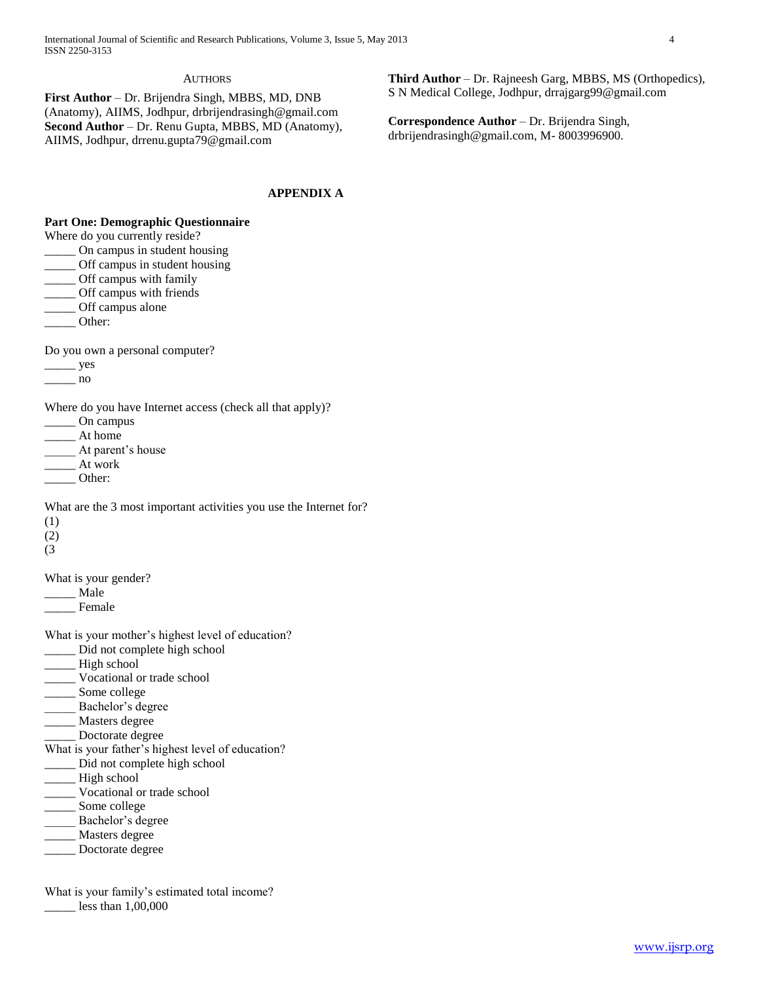# **AUTHORS**

**First Author** – Dr. Brijendra Singh, MBBS, MD, DNB (Anatomy), AIIMS, Jodhpur, drbrijendrasingh@gmail.com **Second Author** – Dr. Renu Gupta, MBBS, MD (Anatomy), AIIMS, Jodhpur, drrenu.gupta79@gmail.com

# **APPENDIX A**

# **Part One: Demographic Questionnaire**

Where do you currently reside?

- \_\_\_\_\_ On campus in student housing
- \_\_\_\_\_ Off campus in student housing
- \_\_\_\_\_ Off campus with family
- \_\_\_\_\_ Off campus with friends
- \_\_\_\_\_ Off campus alone
- \_\_\_\_\_ Other:

Do you own a personal computer?

\_\_\_\_\_ yes

 $\frac{1}{\sqrt{1-\frac{1}{2}}}\n$ no

Where do you have Internet access (check all that apply)?

\_\_\_\_\_ On campus

- \_\_\_\_\_ At home
- At parent's house
- \_\_\_\_\_ At work
- \_\_\_\_\_ Other:

What are the 3 most important activities you use the Internet for?

- (1)
- (2)
- (3

What is your gender?

\_\_\_\_\_ Male

- Female
- What is your mother's highest level of education?
- \_\_\_\_\_ Did not complete high school
- High school
- \_\_\_\_\_ Vocational or trade school
- \_\_\_\_\_ Some college
- \_\_\_\_\_ Bachelor's degree
- \_\_\_\_\_ Masters degree
- \_\_\_\_\_ Doctorate degree
- What is your father's highest level of education?
- \_\_\_\_\_ Did not complete high school
- \_\_\_\_\_ High school
- \_\_\_\_\_ Vocational or trade school

\_\_\_\_\_ Some college

- Bachelor's degree
- \_\_\_\_\_ Masters degree
- \_\_\_\_\_ Doctorate degree

What is your family's estimated total income?

\_\_\_\_\_ less than 1,00,000

**Third Author** – Dr. Rajneesh Garg, MBBS, MS (Orthopedics), S N Medical College, Jodhpur, drrajgarg99@gmail.com

**Correspondence Author** – Dr. Brijendra Singh, drbrijendrasingh@gmail.com, M- 8003996900.